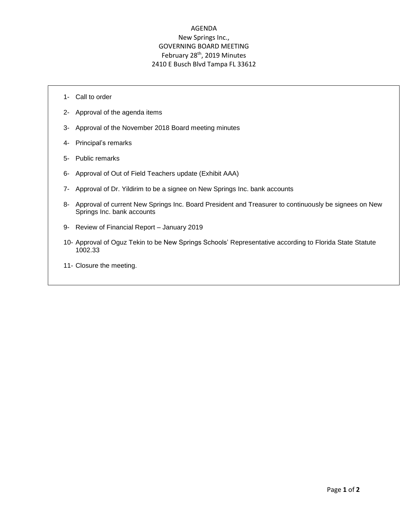## AGENDA New Springs Inc., GOVERNING BOARD MEETING February 28<sup>th</sup>, 2019 Minutes 2410 E Busch Blvd Tampa FL 33612

- 1- Call to order
- 2- Approval of the agenda items
- 3- Approval of the November 2018 Board meeting minutes
- 4- Principal's remarks
- 5- Public remarks
- 6- Approval of Out of Field Teachers update (Exhibit AAA)
- 7- Approval of Dr. Yildirim to be a signee on New Springs Inc. bank accounts
- 8- Approval of current New Springs Inc. Board President and Treasurer to continuously be signees on New Springs Inc. bank accounts
- 9- Review of Financial Report January 2019
- 10- Approval of Oguz Tekin to be New Springs Schools' Representative according to Florida State Statute 1002.33
- 11- Closure the meeting.